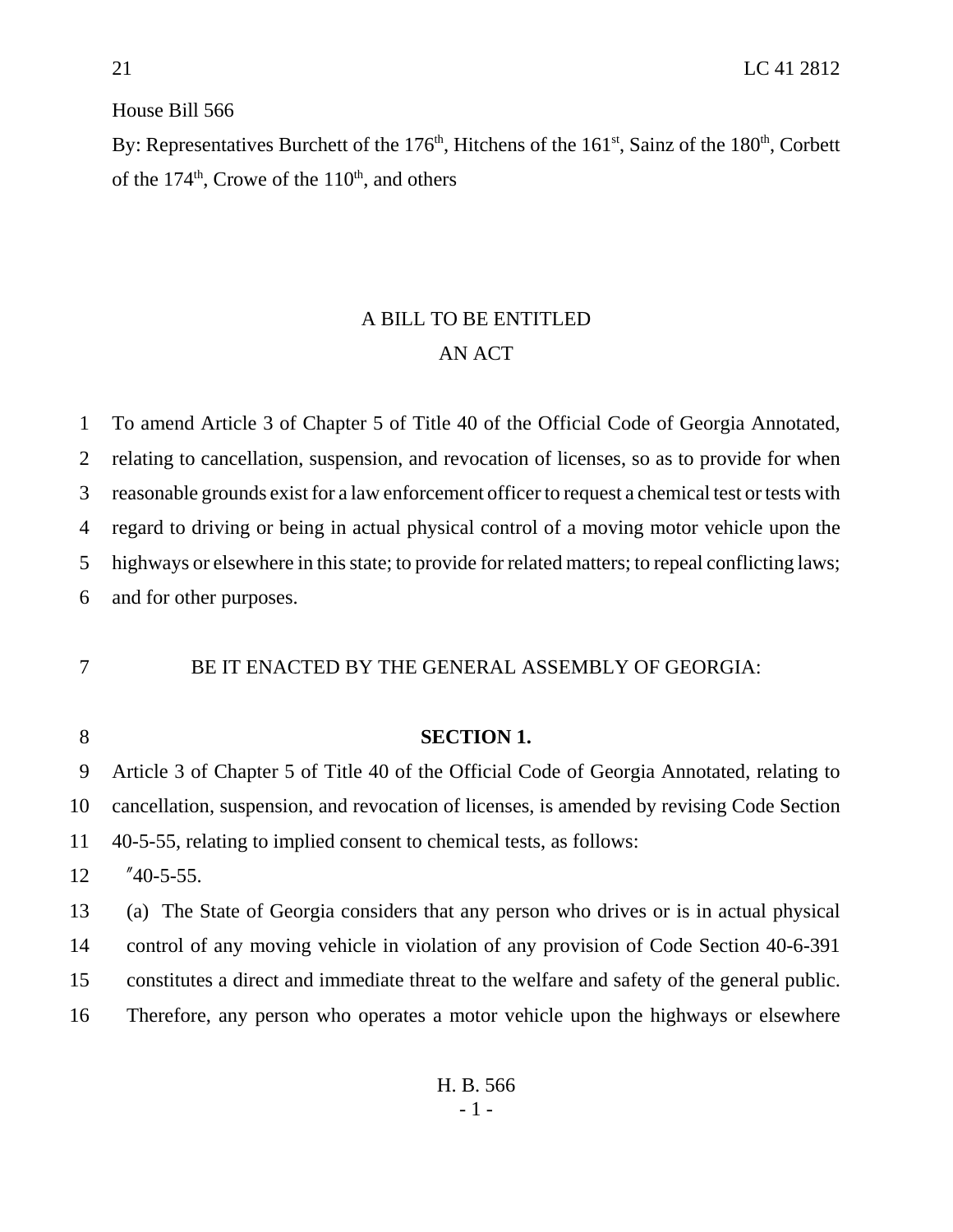House Bill 566

By: Representatives Burchett of the  $176<sup>th</sup>$ , Hitchens of the  $161<sup>st</sup>$ , Sainz of the  $180<sup>th</sup>$ , Corbett of the  $174<sup>th</sup>$ , Crowe of the  $110<sup>th</sup>$ , and others

## A BILL TO BE ENTITLED AN ACT

 To amend Article 3 of Chapter 5 of Title 40 of the Official Code of Georgia Annotated, relating to cancellation, suspension, and revocation of licenses, so as to provide for when reasonable grounds exist for a law enforcement officer to request a chemical test or tests with regard to driving or being in actual physical control of a moving motor vehicle upon the highways or elsewhere in this state; to provide for related matters; to repeal conflicting laws; and for other purposes.

## BE IT ENACTED BY THE GENERAL ASSEMBLY OF GEORGIA:

## **SECTION 1.**

 Article 3 of Chapter 5 of Title 40 of the Official Code of Georgia Annotated, relating to cancellation, suspension, and revocation of licenses, is amended by revising Code Section 40-5-55, relating to implied consent to chemical tests, as follows:

"40-5-55.

 (a) The State of Georgia considers that any person who drives or is in actual physical control of any moving vehicle in violation of any provision of Code Section 40-6-391 constitutes a direct and immediate threat to the welfare and safety of the general public. Therefore, any person who operates a motor vehicle upon the highways or elsewhere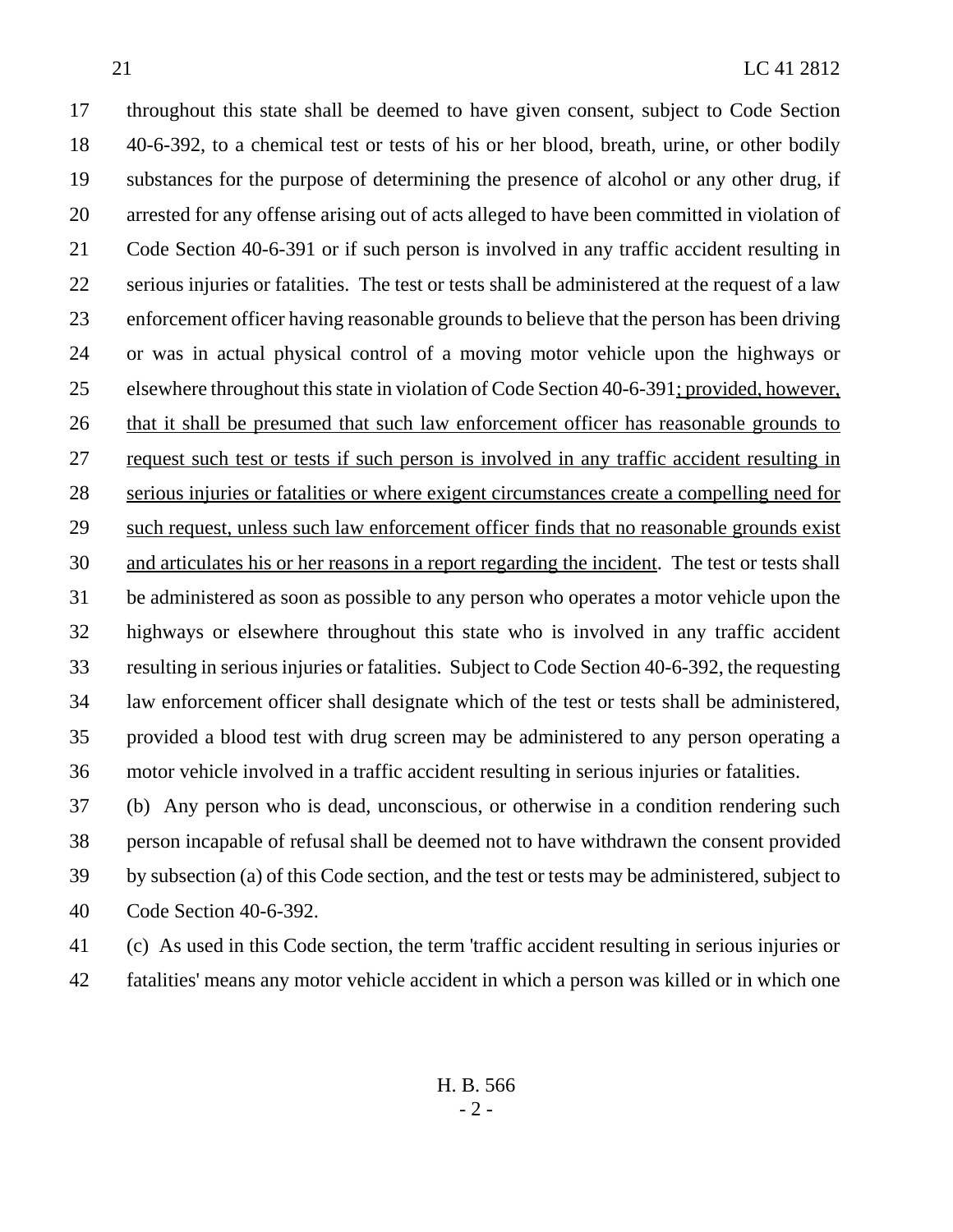throughout this state shall be deemed to have given consent, subject to Code Section 40-6-392, to a chemical test or tests of his or her blood, breath, urine, or other bodily substances for the purpose of determining the presence of alcohol or any other drug, if arrested for any offense arising out of acts alleged to have been committed in violation of Code Section 40-6-391 or if such person is involved in any traffic accident resulting in serious injuries or fatalities. The test or tests shall be administered at the request of a law enforcement officer having reasonable grounds to believe that the person has been driving or was in actual physical control of a moving motor vehicle upon the highways or elsewhere throughout this state in violation of Code Section 40-6-391; provided, however, that it shall be presumed that such law enforcement officer has reasonable grounds to request such test or tests if such person is involved in any traffic accident resulting in serious injuries or fatalities or where exigent circumstances create a compelling need for such request, unless such law enforcement officer finds that no reasonable grounds exist and articulates his or her reasons in a report regarding the incident. The test or tests shall be administered as soon as possible to any person who operates a motor vehicle upon the highways or elsewhere throughout this state who is involved in any traffic accident resulting in serious injuries or fatalities. Subject to Code Section 40-6-392, the requesting law enforcement officer shall designate which of the test or tests shall be administered, provided a blood test with drug screen may be administered to any person operating a motor vehicle involved in a traffic accident resulting in serious injuries or fatalities.

 (b) Any person who is dead, unconscious, or otherwise in a condition rendering such person incapable of refusal shall be deemed not to have withdrawn the consent provided by subsection (a) of this Code section, and the test or tests may be administered, subject to Code Section 40-6-392.

 (c) As used in this Code section, the term 'traffic accident resulting in serious injuries or fatalities' means any motor vehicle accident in which a person was killed or in which one